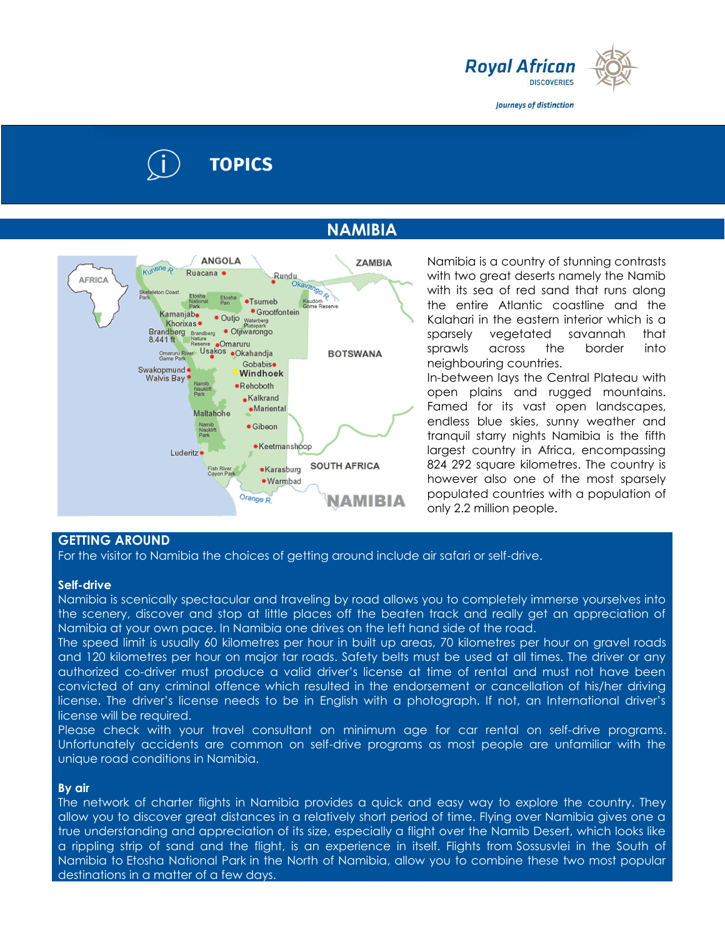

Journeys of distinction

# **TOPICS**

# **NAMIBIA**



Namibia is a country of stunning contrasts with two great deserts namely the Namib with its sea of red sand that runs along the entire Atlantic coastline and the Kalahari in the eastern interior which is a sparsely vegetated savannah that sprawls across the border into neighbouring countries.

In-between lays the Central Plateau with open plains and rugged mountains. Famed for its vast open landscapes, endless blue skies, sunny weather and tranquil starry nights Namibia is the fifth largest country in Africa, encompassing 824 292 square kilometres. The country is however also one of the most sparsely populated countries with a population of only 2.2 million people.

# **GETTING AROUND**

For the visitor to Namibia the choices of getting around include air safari or self-drive.

## **Self-drive**

Namibia is scenically spectacular and traveling by road allows you to completely immerse yourselves into the scenery, discover and stop at little places off the beaten track and really get an appreciation of Namibia at your own pace. In Namibia one drives on the left hand side of the road.

The speed limit is usually 60 kilometres per hour in built up areas, 70 kilometres per hour on gravel roads and 120 kilometres per hour on major tar roads. Safety belts must be used at all times. The driver or any authorized co-driver must produce a valid driver's license at time of rental and must not have been convicted of any criminal offence which resulted in the endorsement or cancellation of his/her driving license. The driver's license needs to be in English with a photograph. If not, an International driver's license will be required.

Please check with your travel consultant on minimum age for car rental on self-drive programs. Unfortunately accidents are common on self-drive programs as most people are unfamiliar with the unique road conditions in Namibia.

## **By air**

The network of charter flights in Namibia provides a quick and easy way to explore the country. They allow you to discover great distances in a relatively short period of time. Flying over Namibia gives one a true understanding and appreciation of its size, especially a flight over the Namib Desert, which looks like a rippling strip of sand and the flight, is an experience in itself. Flights from Sossusvlei in the South of Namibia to Etosha National Park in the North of Namibia, allow you to combine these two most popular destinations in a matter of a few days.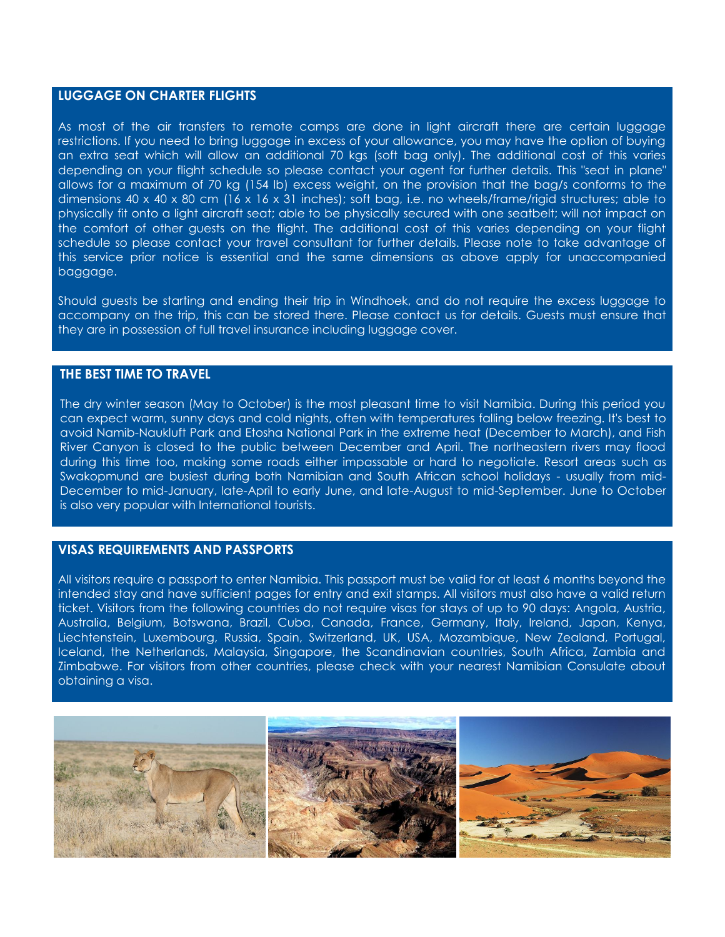## **LUGGAGE ON CHARTER FLIGHTS**

As most of the air transfers to remote camps are done in light aircraft there are certain luggage restrictions. If you need to bring luggage in excess of your allowance, you may have the option of buying an extra seat which will allow an additional 70 kgs (soft bag only). The additional cost of this varies depending on your flight schedule so please contact your agent for further details. This "seat in plane" allows for a maximum of 70 kg (154 lb) excess weight, on the provision that the bag/s conforms to the dimensions 40 x 40 x 80 cm (16 x 16 x 31 inches); soft bag, i.e. no wheels/frame/rigid structures; able to physically fit onto a light aircraft seat; able to be physically secured with one seatbelt; will not impact on the comfort of other guests on the flight. The additional cost of this varies depending on your flight schedule so please contact your travel consultant for further details. Please note to take advantage of this service prior notice is essential and the same dimensions as above apply for unaccompanied baggage.

Should guests be starting and ending their trip in Windhoek, and do not require the excess luggage to accompany on the trip, this can be stored there. Please contact us for details. Guests must ensure that they are in possession of full travel insurance including luggage cover.

# **THE BEST TIME TO TRAVEL**

The dry winter season (May to October) is the most pleasant time to visit Namibia. During this period you can expect warm, sunny days and cold nights, often with temperatures falling below freezing. It's best to avoid Namib-Naukluft Park and Etosha National Park in the extreme heat (December to March), and Fish River Canyon is closed to the public between December and April. The northeastern rivers may flood during this time too, making some roads either impassable or hard to negotiate. Resort areas such as Swakopmund are busiest during both Namibian and South African school holidays - usually from mid-December to mid-January, late-April to early June, and late-August to mid-September. June to October is also very popular with International tourists.

## **VISAS REQUIREMENTS AND PASSPORTS**

All visitors require a passport to enter Namibia. This passport must be valid for at least 6 months beyond the intended stay and have sufficient pages for entry and exit stamps. All visitors must also have a valid return ticket. Visitors from the following countries do not require visas for stays of up to 90 days: Angola, Austria, Australia, Belgium, Botswana, Brazil, Cuba, Canada, France, Germany, Italy, Ireland, Japan, Kenya, Liechtenstein, Luxembourg, Russia, Spain, Switzerland, UK, USA, Mozambique, New Zealand, Portugal, Iceland, the Netherlands, Malaysia, Singapore, the Scandinavian countries, South Africa, Zambia and Zimbabwe. For visitors from other countries, please check with your nearest Namibian Consulate about obtaining a visa.